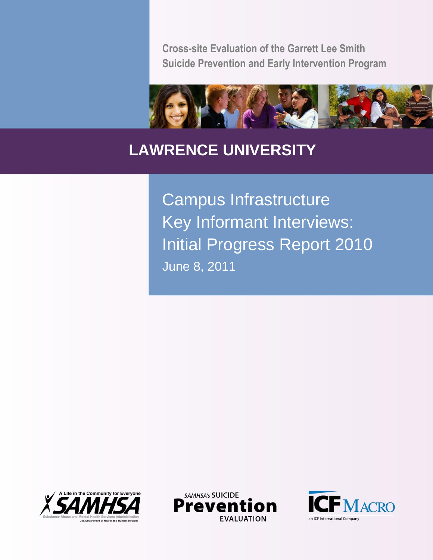**Cross-site Evaluation of the Garrett Lee Smith Suicide Prevention and Early Intervention Program**



# **LAWRENCE UNIVERSITY**

Campus Infrastructure Key Informant Interviews: Initial Progress Report 2010 June 8, 2011





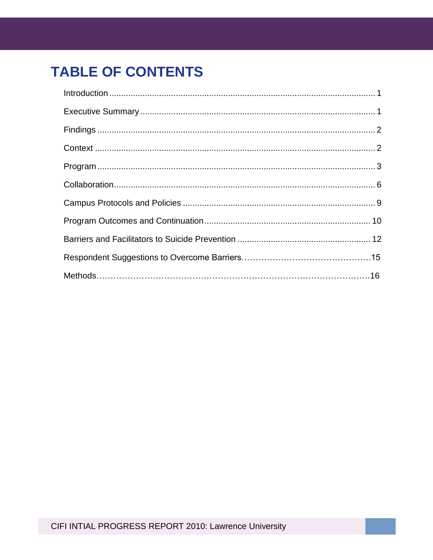# **TABLE OF CONTENTS**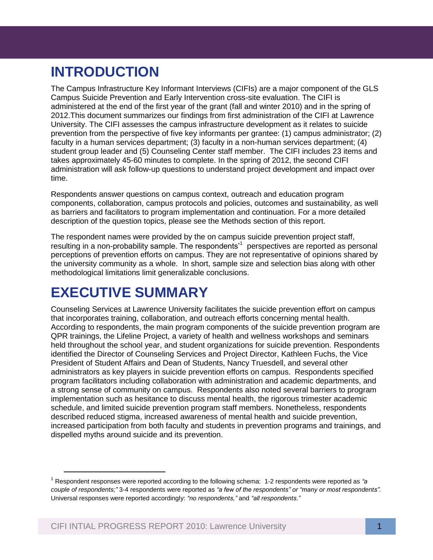# **INTRODUCTION**

racting in a numan services department, (5) racting in a non-numan services department, (4)<br>student group leader and (5) Counseling Center staff member. The CIFI includes 23 items and<br>takes approximately 45.60 minutes to c The Campus Infrastructure Key Informant Interviews (CIFIs) are a major component of the GLS Campus Suicide Prevention and Early Intervention cross-site evaluation. The CIFI is administered at the end of the first year of the grant (fall and winter 2010) and in the spring of 2012.This document summarizes our findings from first administration of the CIFI at Lawrence University. The CIFI assesses the campus infrastructure development as it relates to suicide prevention from the perspective of five key informants per grantee: (1) campus administrator; (2) faculty in a human services department; (3) faculty in a non-human services department; (4) takes approximately 45-60 minutes to complete. In the spring of 2012, the second CIFI administration will ask follow-up questions to understand project development and impact over time.

Respondents answer questions on campus context, outreach and education program components, collaboration, campus protocols and policies, outcomes and sustainability, as well as barriers and facilitators to program implementation and continuation. For a more detailed description of the question topics, please see the Methods section of this report.

The respondent names were provided by the on campus suicide prevention project staff, resulting in a non-probability sample. The respondents'<sup>1</sup> perspectives are reported as personal perceptions of prevention efforts on campus. They are not representative of opinions shared by the university community as a whole. In short, sample size and selection bias along with other methodological limitations limit generalizable conclusions.

# **EXECUTIVE SUMMARY**

l

Counseling Services at Lawrence University facilitates the suicide prevention effort on campus that incorporates training, collaboration, and outreach efforts concerning mental health. According to respondents, the main program components of the suicide prevention program are QPR trainings, the Lifeline Project, a variety of health and wellness workshops and seminars held throughout the school year, and student organizations for suicide prevention. Respondents identified the Director of Counseling Services and Project Director, Kathleen Fuchs, the Vice President of Student Affairs and Dean of Students, Nancy Truesdell, and several other administrators as key players in suicide prevention efforts on campus.Respondents specified program facilitators including collaboration with administration and academic departments, and a strong sense of community on campus. Respondents also noted several barriers to program implementation such as hesitance to discuss mental health, the rigorous trimester academic schedule, and limited suicide prevention program staff members. Nonetheless, respondents described reduced stigma, increased awareness of mental health and suicide prevention, increased participation from both faculty and students in prevention programs and trainings, and dispelled myths around suicide and its prevention.

<sup>1</sup> Respondent responses were reported according to the following schema: 1-2 respondents were reported as *"a couple of respondents;"* 3-4 respondents were reported as *"a few of the respondents" or "many or most respondents".* Universal responses were reported accordingly: *"no respondents,"* and *"all respondents."*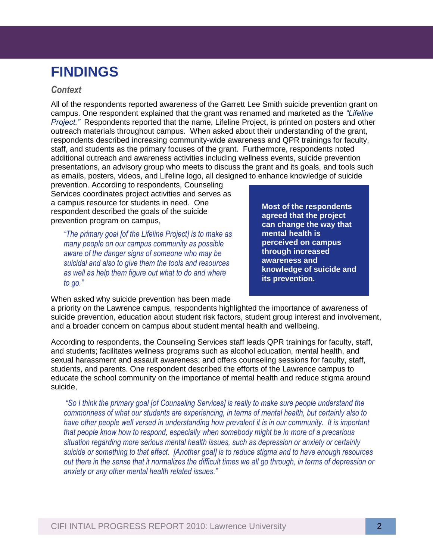## **FINDINGS**

### *Context*

staff, and students as the primary focuses of the grant. Furthermore, respondents noted<br>additional outreach and awareness activities including wellness events, suicide preventio All of the respondents reported awareness of the Garrett Lee Smith suicide prevention grant on campus. One respondent explained that the grant was renamed and marketed as the *"Lifeline Project."* Respondents reported that the name, Lifeline Project, is printed on posters and other outreach materials throughout campus. When asked about their understanding of the grant, respondents described increasing community-wide awareness and QPR trainings for faculty, additional outreach and awareness activities including wellness events, suicide prevention presentations, an advisory group who meets to discuss the grant and its goals, and tools such as emails, posters, videos, and Lifeline logo, all designed to enhance knowledge of suicide

prevention. According to respondents, Counseling Services coordinates project activities and serves as a campus resource for students in need. One respondent described the goals of the suicide prevention program on campus,

*"The primary goal [of the Lifeline Project] is to make as many people on our campus community as possible aware of the danger signs of someone who may be suicidal and also to give them the tools and resources as well as help them figure out what to do and where to go."*

**Most of the respondents agreed that the project can change the way that mental health is perceived on campus through increased awareness and knowledge of suicide and its prevention.**

When asked why suicide prevention has been made

a priority on the Lawrence campus, respondents highlighted the importance of awareness of suicide prevention, education about student risk factors, student group interest and involvement, and a broader concern on campus about student mental health and wellbeing.

According to respondents, the Counseling Services staff leads QPR trainings for faculty, staff, and students; facilitates wellness programs such as alcohol education, mental health, and sexual harassment and assault awareness; and offers counseling sessions for faculty, staff, students, and parents. One respondent described the efforts of the Lawrence campus to educate the school community on the importance of mental health and reduce stigma around suicide,

*"So I think the primary goal [of Counseling Services] is really to make sure people understand the commonness of what our students are experiencing, in terms of mental health, but certainly also to have other people well versed in understanding how prevalent it is in our community. It is important that people know how to respond, especially when somebody might be in more of a precarious situation regarding more serious mental health issues, such as depression or anxiety or certainly suicide or something to that effect. [Another goal] is to reduce stigma and to have enough resources out there in the sense that it normalizes the difficult times we all go through, in terms of depression or anxiety or any other mental health related issues."*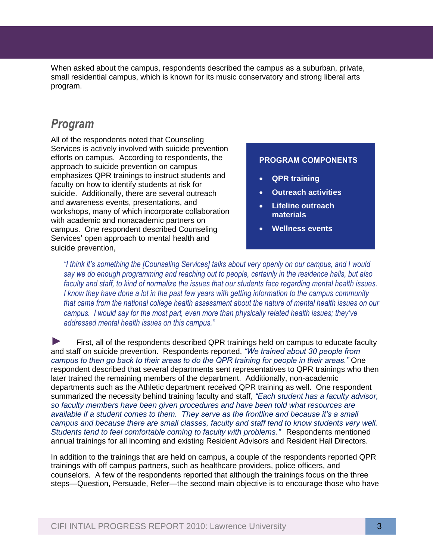When asked about the campus, respondents described the campus as a suburban, private, small residential campus, which is known for its music conservatory and strong liberal arts program.

### *Program*

Services is actively involved with suicide prevention<br>efforts on campus. According to respondents, the All of the respondents noted that Counseling efforts on campus. According to respondents, the approach to suicide prevention on campus emphasizes QPR trainings to instruct students and faculty on how to identify students at risk for suicide. Additionally, there are several outreach and awareness events, presentations, and workshops, many of which incorporate collaboration with academic and nonacademic partners on campus. One respondent described Counseling Services' open approach to mental health and suicide prevention,

#### **PROGRAM COMPONENTS**

- **QPR training**
- **Outreach activities**
- **Lifeline outreach materials**
- **Wellness events**

*"I think it's something the [Counseling Services] talks about very openly on our campus, and I would say we do enough programming and reaching out to people, certainly in the residence halls, but also faculty and staff, to kind of normalize the issues that our students face regarding mental health issues. I know they have done a lot in the past few years with getting information to the campus community that came from the national college health assessment about the nature of mental health issues on our campus. I would say for the most part, even more than physically related health issues; they've addressed mental health issues on this campus."*

► First, all of the respondents described QPR trainings held on campus to educate faculty and staff on suicide prevention. Respondents reported, *"We trained about 30 people from campus to then go back to their areas to do the QPR training for people in their areas."* One respondent described that several departments sent representatives to QPR trainings who then later trained the remaining members of the department. Additionally, non-academic departments such as the Athletic department received QPR training as well. One respondent summarized the necessity behind training faculty and staff, *"Each student has a faculty advisor, so faculty members have been given procedures and have been told what resources are available if a student comes to them. They serve as the frontline and because it's a small campus and because there are small classes, faculty and staff tend to know students very well. Students tend to feel comfortable coming to faculty with problems."* Respondents mentioned annual trainings for all incoming and existing Resident Advisors and Resident Hall Directors.

In addition to the trainings that are held on campus, a couple of the respondents reported QPR trainings with off campus partners, such as healthcare providers, police officers, and counselors. A few of the respondents reported that although the trainings focus on the three steps—Question, Persuade, Refer—the second main objective is to encourage those who have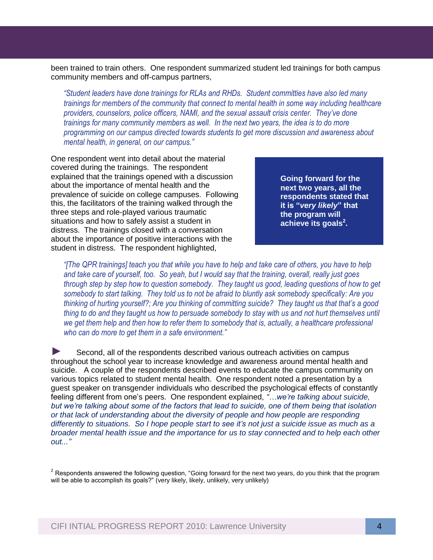been trained to train others. One respondent summarized student led trainings for both campus community members and off-campus partners,

*"Student leaders have done trainings for RLAs and RHDs. Student committies have also led many trainings for members of the community that connect to mental health in some way including healthcare providers, counselors, police officers, NAMI, and the sexual assault crisis center. They've done trainings for many community members as well. In the next two years, the idea is to do more programming on our campus directed towards students to get more discussion and awareness about mental health, in general, on our campus."*

**APPENIX III** CHERRIC STREAM CONTROLLER THE MATHEMAN CONTROLLER<br> **One respondent went into detail about the material** covered during the trainings. The respondent explained that the trainings opened with a discussion about the importance of mental health and the prevalence of suicide on college campuses. Following this, the facilitators of the training walked through the three steps and role-played various traumatic situations and how to safely assist a student in distress. The trainings closed with a conversation about the importance of positive interactions with the student in distress. The respondent highlighted,

**Going forward for the next two years, all the respondents stated that it is "***very likely***" that the program will achieve its goals<sup>2</sup> .**

*"[The QPR trainings] teach you that while you have to help and take care of others, you have to help and take care of yourself, too. So yeah, but I would say that the training, overall, really just goes through step by step how to question somebody. They taught us good, leading questions of how to get somebody to start talking. They told us to not be afraid to bluntly ask somebody specifically: Are you thinking of hurting yourself?; Are you thinking of committing suicide? They taught us that that's a good thing to do and they taught us how to persuade somebody to stay with us and not hurt themselves until*  we get them help and then how to refer them to somebody that is, actually, a healthcare professional *who can do more to get them in a safe environment."* 

► Second, all of the respondents described various outreach activities on campus throughout the school year to increase knowledge and awareness around mental health and suicide. A couple of the respondents described events to educate the campus community on various topics related to student mental health. One respondent noted a presentation by a guest speaker on transgender individuals who described the psychological effects of constantly feeling different from one's peers. One respondent explained, *"…we're talking about suicide, but we're talking about some of the factors that lead to suicide, one of them being that isolation or that lack of understanding about the diversity of people and how people are responding differently to situations. So I hope people start to see it's not just a suicide issue as much as a broader mental health issue and the importance for us to stay connected and to help each other out..."*

 $2$  Respondents answered the following question, "Going forward for the next two years, do you think that the program will be able to accomplish its goals?" (very likely, likely, unlikely, very unlikely)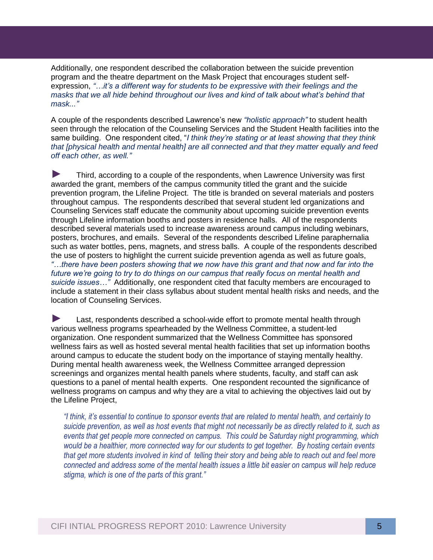Additionally, one respondent described the collaboration between the suicide prevention program and the theatre department on the Mask Project that encourages student selfexpression, *"…it's a different way for students to be expressive with their feelings and the masks that we all hide behind throughout our lives and kind of talk about what's behind that mask..."* 

*that [physical health and mental health] are all connected and that they matter equally and feed*<br>off each other, as well." A couple of the respondents described Lawrence's new *"holistic approach"* to student health seen through the relocation of the Counseling Services and the Student Health facilities into the same building. One respondent cited, "*I think they're stating or at least showing that they think off each other, as well."*

► Third, according to a couple of the respondents, when Lawrence University was first awarded the grant, members of the campus community titled the grant and the suicide prevention program, the Lifeline Project. The title is branded on several materials and posters throughout campus. The respondents described that several student led organizations and Counseling Services staff educate the community about upcoming suicide prevention events through Lifeline information booths and posters in residence halls. All of the respondents described several materials used to increase awareness around campus including webinars, posters, brochures, and emails. Several of the respondents described Lifeline paraphernalia such as water bottles, pens, magnets, and stress balls. A couple of the respondents described the use of posters to highlight the current suicide prevention agenda as well as future goals, *"…there have been posters showing that we now have this grant and that now and far into the*  future we're going to try to do things on our campus that really focus on mental health and *suicide issues…"* Additionally, one respondent cited that faculty members are encouraged to include a statement in their class syllabus about student mental health risks and needs, and the location of Counseling Services.

► Last, respondents described a school-wide effort to promote mental health through various wellness programs spearheaded by the Wellness Committee, a student-led organization. One respondent summarized that the Wellness Committee has sponsored wellness fairs as well as hosted several mental health facilities that set up information booths around campus to educate the student body on the importance of staying mentally healthy. During mental health awareness week, the Wellness Committee arranged depression screenings and organizes mental health panels where students, faculty, and staff can ask questions to a panel of mental health experts. One respondent recounted the significance of wellness programs on campus and why they are a vital to achieving the objectives laid out by the Lifeline Project,

*"I think, it's essential to continue to sponsor events that are related to mental health, and certainly to suicide prevention, as well as host events that might not necessarily be as directly related to it, such as events that get people more connected on campus. This could be Saturday night programming, which would be a healthier, more connected way for our students to get together. By hosting certain events that get more students involved in kind of telling their story and being able to reach out and feel more connected and address some of the mental health issues a little bit easier on campus will help reduce stigma, which is one of the parts of this grant."*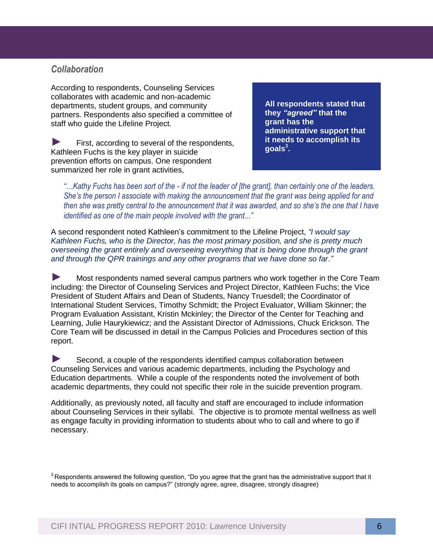### *Collaboration*

According to respondents, Counseling Services collaborates with academic and non-academic departments, student groups, and community partners. Respondents also specified a committee of staff who guide the Lifeline Project.

*A*<br>bendert<br>and the condext ► First, according to several of the respondents, Kathleen Fuchs is the key player in suicide prevention efforts on campus. One respondent summarized her role in grant activities,

**All respondents stated that they** *"agreed"* **that the grant has the administrative support that it needs to accomplish its goals<sup>3</sup> .** 

*"…Kathy Fuchs has been sort of the - if not the leader of [the grant], than certainly one of the leaders. She's the person I associate with making the announcement that the grant was being applied for and then she was pretty central to the announcement that it was awarded, and so she's the one that I have identified as one of the main people involved with the grant..."*

A second respondent noted Kathleen's commitment to the Lifeline Project, *"I would say Kathleen Fuchs, who is the Director, has the most primary position, and she is pretty much overseeing the grant entirely and overseeing everything that is being done through the grant and through the QPR trainings and any other programs that we have done so far."* 

► Most respondents named several campus partners who work together in the Core Team including: the Director of Counseling Services and Project Director, Kathleen Fuchs; the Vice President of Student Affairs and Dean of Students, Nancy Truesdell; the Coordinator of International Student Services, Timothy Schmidt; the Project Evaluator, William Skinner; the Program Evaluation Assistant, Kristin Mckinley; the Director of the Center for Teaching and Learning, Julie Haurykiewicz; and the Assistant Director of Admissions, Chuck Erickson. The Core Team will be discussed in detail in the Campus Policies and Procedures section of this report.

► Second, a couple of the respondents identified campus collaboration between Counseling Services and various academic departments, including the Psychology and Education departments. While a couple of the respondents noted the involvement of both academic departments, they could not specific their role in the suicide prevention program.

Additionally, as previously noted, all faculty and staff are encouraged to include information about Counseling Services in their syllabi. The objective is to promote mental wellness as well as engage faculty in providing information to students about who to call and where to go if necessary.

 $3$ Respondents answered the following question, "Do you agree that the grant has the administrative support that it needs to accomplish its goals on campus?" (strongly agree, agree, disagree, strongly disagree)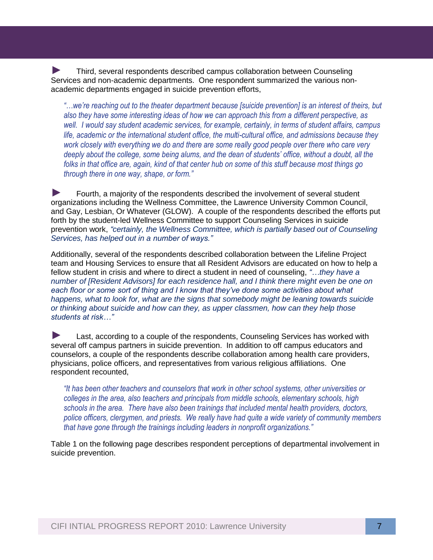► Third, several respondents described campus collaboration between Counseling Services and non-academic departments. One respondent summarized the various nonacademic departments engaged in suicide prevention efforts,

work closely with everything we do and there are some really good people over there who care very<br>deeply about the college, some being alums, and the dean of students' office, without a doubt, all the "...we're reaching out to the theater department because [suicide prevention] is an interest of theirs, but *also they have some interesting ideas of how we can approach this from a different perspective, as well. I would say student academic services, for example, certainly, in terms of student affairs, campus life, academic or the international student office, the multi-cultural office, and admissions because they work closely with everything we do and there are some really good people over there who care very folks in that office are, again, kind of that center hub on some of this stuff because most things go through there in one way, shape, or form."*

► Fourth, a majority of the respondents described the involvement of several student organizations including the Wellness Committee, the Lawrence University Common Council, and Gay, Lesbian, Or Whatever (GLOW). A couple of the respondents described the efforts put forth by the student-led Wellness Committee to support Counseling Services in suicide prevention work, *"certainly, the Wellness Committee, which is partially based out of Counseling Services, has helped out in a number of ways."* 

Additionally, several of the respondents described collaboration between the Lifeline Project team and Housing Services to ensure that all Resident Advisors are educated on how to help a fellow student in crisis and where to direct a student in need of counseling, *"…they have a number of [Resident Advisors] for each residence hall, and I think there might even be one on each floor or some sort of thing and I know that they've done some activities about what happens, what to look for, what are the signs that somebody might be leaning towards suicide or thinking about suicide and how can they, as upper classmen, how can they help those students at risk…"*

► Last, according to a couple of the respondents, Counseling Services has worked with several off campus partners in suicide prevention. In addition to off campus educators and counselors, a couple of the respondents describe collaboration among health care providers, physicians, police officers, and representatives from various religious affiliations. One respondent recounted,

*"It has been other teachers and counselors that work in other school systems, other universities or colleges in the area, also teachers and principals from middle schools, elementary schools, high schools in the area. There have also been trainings that included mental health providers, doctors, police officers, clergymen, and priests. We really have had quite a wide variety of community members that have gone through the trainings including leaders in nonprofit organizations."*

Table 1 on the following page describes respondent perceptions of departmental involvement in suicide prevention.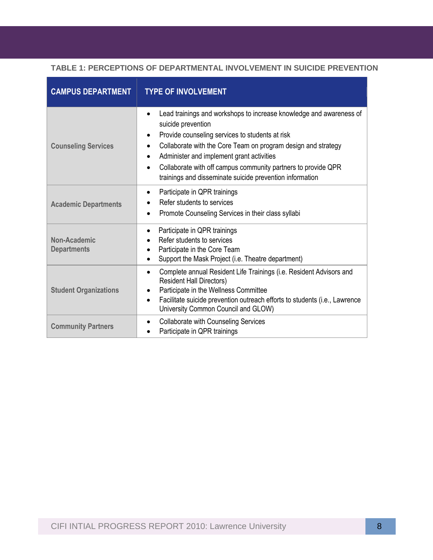#### **TABLE 1: PERCEPTIONS OF DEPARTMENTAL INVOLVEMENT IN SUICIDE PREVENTION**

| <b>CAMPUS DEPARTMENT</b>           | <b>TYPE OF INVOLVEMENT</b>                                                                                                                                                                                                                                                                                                                                                                                                                  |
|------------------------------------|---------------------------------------------------------------------------------------------------------------------------------------------------------------------------------------------------------------------------------------------------------------------------------------------------------------------------------------------------------------------------------------------------------------------------------------------|
| <b>Counseling Services</b>         | Lead trainings and workshops to increase knowledge and awareness of<br>$\bullet$<br>suicide prevention<br>Provide counseling services to students at risk<br>$\bullet$<br>Collaborate with the Core Team on program design and strategy<br>$\bullet$<br>Administer and implement grant activities<br>$\bullet$<br>Collaborate with off campus community partners to provide QPR<br>trainings and disseminate suicide prevention information |
| <b>Academic Departments</b>        | Participate in QPR trainings<br>٠<br>Refer students to services<br>Promote Counseling Services in their class syllabi<br>$\bullet$                                                                                                                                                                                                                                                                                                          |
| Non-Academic<br><b>Departments</b> | Participate in QPR trainings<br>$\bullet$<br>Refer students to services<br>Participate in the Core Team<br>Support the Mask Project (i.e. Theatre department)                                                                                                                                                                                                                                                                               |
| <b>Student Organizations</b>       | Complete annual Resident Life Trainings (i.e. Resident Advisors and<br>$\bullet$<br><b>Resident Hall Directors)</b><br>Participate in the Wellness Committee<br>$\bullet$<br>Facilitate suicide prevention outreach efforts to students (i.e., Lawrence<br>$\bullet$<br>University Common Council and GLOW)                                                                                                                                 |
| <b>Community Partners</b>          | <b>Collaborate with Counseling Services</b><br>Participate in QPR trainings                                                                                                                                                                                                                                                                                                                                                                 |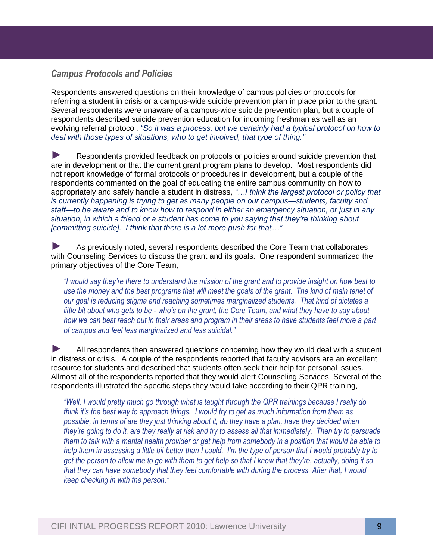### *Campus Protocols and Policies*

Respondents answered questions on their knowledge of campus policies or protocols for referring a student in crisis or a campus-wide suicide prevention plan in place prior to the grant. Several respondents were unaware of a campus-wide suicide prevention plan, but a couple of respondents described suicide prevention education for incoming freshman as well as an evolving referral protocol, *"So it was a process, but we certainly had a typical protocol on how to deal with those types of situations, who to get involved, that type of thing."*

►<br>Respondents provided feedback on protocols or policies around suicide prevention that are in development or that the current grant program plans to develop. Most respondents did not report knowledge of formal protocols or procedures in development, but a couple of the respondents commented on the goal of educating the entire campus community on how to appropriately and safely handle a student in distress, *"…I think the largest protocol or policy that is currently happening is trying to get as many people on our campus—students, faculty and staff—to be aware and to know how to respond in either an emergency situation, or just in any situation, in which a friend or a student has come to you saying that they're thinking about [committing suicide]. I think that there is a lot more push for that…"*

► As previously noted, several respondents described the Core Team that collaborates with Counseling Services to discuss the grant and its goals. One respondent summarized the primary objectives of the Core Team,

*"I would say they're there to understand the mission of the grant and to provide insight on how best to use the money and the best programs that will meet the goals of the grant. The kind of main tenet of our goal is reducing stigma and reaching sometimes marginalized students. That kind of dictates a little bit about who gets to be - who's on the grant, the Core Team, and what they have to say about how we can best reach out in their areas and program in their areas to have students feel more a part of campus and feel less marginalized and less suicidal."*

► All respondents then answered questions concerning how they would deal with a student in distress or crisis. A couple of the respondents reported that faculty advisors are an excellent resource for students and described that students often seek their help for personal issues. Allmost all of the respondents reported that they would alert Counseling Services. Several of the respondents illustrated the specific steps they would take according to their QPR training,

*"Well, I would pretty much go through what is taught through the QPR trainings because I really do think it's the best way to approach things. I would try to get as much information from them as possible, in terms of are they just thinking about it, do they have a plan, have they decided when they're going to do it, are they really at risk and try to assess all that immediately. Then try to persuade them to talk with a mental health provider or get help from somebody in a position that would be able to help them in assessing a little bit better than I could. I'm the type of person that I would probably try to get the person to allow me to go with them to get help so that I know that they're, actually, doing it so that they can have somebody that they feel comfortable with during the process. After that, I would keep checking in with the person."*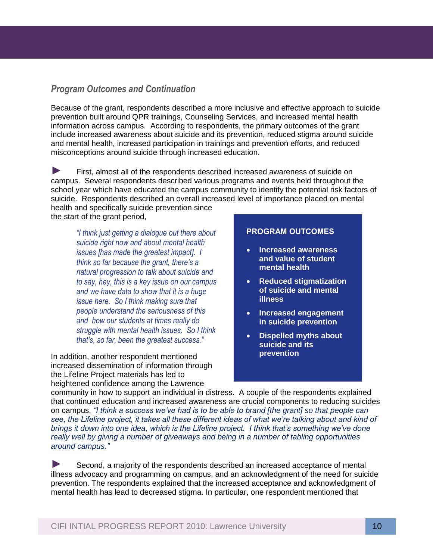### *Program Outcomes and Continuation*

and mental nealth, increased participation in trainings and pro<br>misconceptions around suicide through increased education. Because of the grant, respondents described a more inclusive and effective approach to suicide prevention built around QPR trainings, Counseling Services, and increased mental health information across campus. According to respondents, the primary outcomes of the grant include increased awareness about suicide and its prevention, reduced stigma around suicide and mental health, increased participation in trainings and prevention efforts, and reduced

► First, almost all of the respondents described increased awareness of suicide on campus. Several respondents described various programs and events held throughout the school year which have educated the campus community to identify the potential risk factors of suicide. Respondents described an overall increased level of importance placed on mental health and specifically suicide prevention since

the start of the grant period,

*"I think just getting a dialogue out there about suicide right now and about mental health issues [has made the greatest impact]. I think so far because the grant, there's a natural progression to talk about suicide and to say, hey, this is a key issue on our campus and we have data to show that it is a huge issue here. So I think making sure that people understand the seriousness of this and how our students at times really do struggle with mental health issues. So I think that's, so far, been the greatest success."* 

In addition, another respondent mentioned increased dissemination of information through the Lifeline Project materials has led to heightened confidence among the Lawrence

#### **PROGRAM OUTCOMES**

- **Increased awareness and value of student mental health**
- **Reduced stigmatization of suicide and mental illness**
- **Increased engagement in suicide prevention**
- **Dispelled myths about suicide and its prevention**

community in how to support an individual in distress. A couple of the respondents explained that continued education and increased awareness are crucial components to reducing suicides on campus, *"I think a success we've had is to be able to brand [the grant] so that people can see, the Lifeline project, it takes all these different ideas of what we're talking about and kind of brings it down into one idea, which is the Lifeline project. I think that's something we've done really well by giving a number of giveaways and being in a number of tabling opportunities around campus."*

Second, a majority of the respondents described an increased acceptance of mental illness advocacy and programming on campus, and an acknowledgment of the need for suicide prevention. The respondents explained that the increased acceptance and acknowledgment of mental health has lead to decreased stigma. In particular, one respondent mentioned that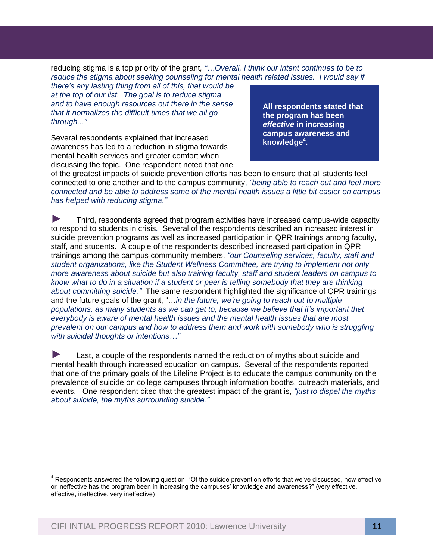reducing stigma is a top priority of the grant*, "…Overall, I think our intent continues to be to reduce the stigma about seeking counseling for mental health related issues. I would say if* 

*there's any lasting thing from all of this, that would be at the top of our list. The goal is to reduce stigma and to have enough resources out there in the sense that it normalizes the difficult times that we all go through..."* 

awareness has led to a reduction in stigma towards<br>mental health services and greater comfort when Several respondents explained that increased mental health services and greater comfort when discussing the topic. One respondent noted that one

**All respondents stated that the program has been**  *effective* **in increasing campus awareness and knowledge<sup>4</sup> .**

of the greatest impacts of suicide prevention efforts has been to ensure that all students feel connected to one another and to the campus community, *"being able to reach out and feel more connected and be able to address some of the mental health issues a little bit easier on campus has helped with reducing stigma."* 

► Third, respondents agreed that program activities have increased campus-wide capacity to respond to students in crisis*.* Several of the respondents described an increased interest in suicide prevention programs as well as increased participation in QPR trainings among faculty, staff, and students. A couple of the respondents described increased participation in QPR trainings among the campus community members, *"our Counseling services, faculty, staff and student organizations, like the Student Wellness Committee, are trying to implement not only more awareness about suicide but also training faculty, staff and student leaders on campus to know what to do in a situation if a student or peer is telling somebody that they are thinking about committing suicide."* The same respondent highlighted the significance of QPR trainings and the future goals of the grant, "…*in the future, we're going to reach out to multiple populations, as many students as we can get to, because we believe that it's important that everybody is aware of mental health issues and the mental health issues that are most prevalent on our campus and how to address them and work with somebody who is struggling with suicidal thoughts or intentions…"*

► Last, a couple of the respondents named the reduction of myths about suicide and mental health through increased education on campus. Several of the respondents reported that one of the primary goals of the Lifeline Project is to educate the campus community on the prevalence of suicide on college campuses through information booths, outreach materials, and events. One respondent cited that the greatest impact of the grant is, *"just to dispel the myths about suicide, the myths surrounding suicide."*

<sup>&</sup>lt;sup>4</sup> Respondents answered the following question, "Of the suicide prevention efforts that we've discussed, how effective or ineffective has the program been in increasing the campuses' knowledge and awareness?" (very effective, effective, ineffective, very ineffective)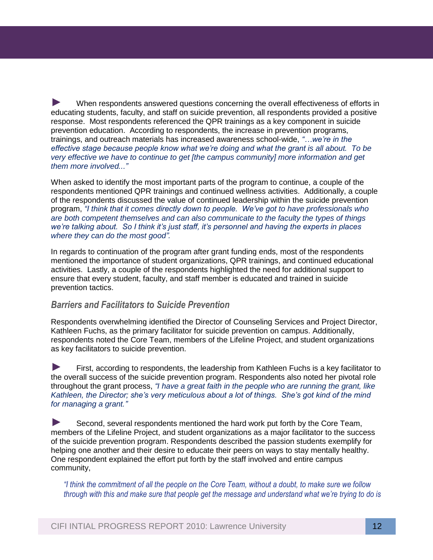effective stage because people know what we're doing and what the grant is all about. To be<br>verv effective we have to continue to get [the campus community] more information and get ► When respondents answered questions concerning the overall effectiveness of efforts in educating students, faculty, and staff on suicide prevention, all respondents provided a positive response. Most respondents referenced the QPR trainings as a key component in suicide prevention education. According to respondents, the increase in prevention programs, trainings, and outreach materials has increased awareness school-wide, *"…we're in the very effective we have to continue to get [the campus community] more information and get them more involved..."*

When asked to identify the most important parts of the program to continue, a couple of the respondents mentioned QPR trainings and continued wellness activities. Additionally, a couple of the respondents discussed the value of continued leadership within the suicide prevention program, *"I think that it comes directly down to people. We've got to have professionals who are both competent themselves and can also communicate to the faculty the types of things we're talking about. So I think it's just staff, it's personnel and having the experts in places where they can do the most good".*

In regards to continuation of the program after grant funding ends, most of the respondents mentioned the importance of student organizations, QPR trainings, and continued educational activities. Lastly, a couple of the respondents highlighted the need for additional support to ensure that every student, faculty, and staff member is educated and trained in suicide prevention tactics.

### *Barriers and Facilitators to Suicide Prevention*

Respondents overwhelming identified the Director of Counseling Services and Project Director, Kathleen Fuchs, as the primary facilitator for suicide prevention on campus. Additionally, respondents noted the Core Team, members of the Lifeline Project, and student organizations as key facilitators to suicide prevention.

► First, according to respondents, the leadership from Kathleen Fuchs is a key facilitator to the overall success of the suicide prevention program. Respondents also noted her pivotal role throughout the grant process, *"I have a great faith in the people who are running the grant, like Kathleen, the Director; she's very meticulous about a lot of things. She's got kind of the mind for managing a grant."*

► Second, several respondents mentioned the hard work put forth by the Core Team, members of the Lifeline Project, and student organizations as a major facilitator to the success of the suicide prevention program. Respondents described the passion students exemplify for helping one another and their desire to educate their peers on ways to stay mentally healthy. One respondent explained the effort put forth by the staff involved and entire campus community,

*"I think the commitment of all the people on the Core Team, without a doubt, to make sure we follow through with this and make sure that people get the message and understand what we're trying to do is*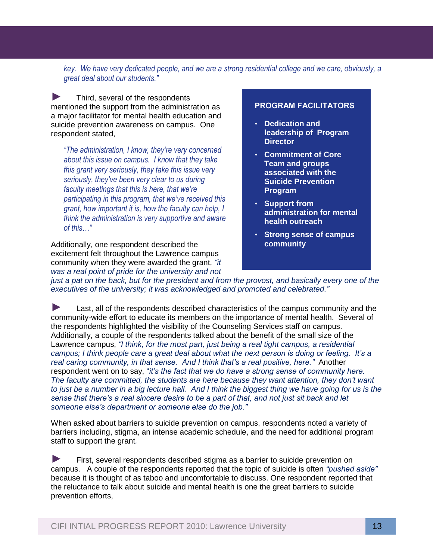*key. We have very dedicated people, and we are a strong residential college and we care, obviously, a great deal about our students."*

► Third, several of the respondents mentioned the support from the administration as a major facilitator for mental health education and suicide prevention awareness on campus. One respondent stated,

*a* <sup>*"The administration, I know, they're very concerned*  $\cdot$ </sup> *about this issue on campus. I know that they take this grant very seriously, they take this issue very seriously, they've been very clear to us during faculty meetings that this is here, that we're participating in this program, that we've received this grant, how important it is, how the faculty can help, I think the administration is very supportive and aware of this…"*

Additionally, one respondent described the excitement felt throughout the Lawrence campus community when they were awarded the grant, *"it was a real point of pride for the university and not* 

#### **PROGRAM FACILITATORS**

- **Dedication and leadership of Program Director**
- **Commitment of Core Team and groups associated with the Suicide Prevention Program**
- **Support from administration for mental health outreach**
- **Strong sense of campus community**

*just a pat on the back, but for the president and from the provost, and basically every one of the executives of the university; it was acknowledged and promoted and celebrated."*

► Last, all of the respondents described characteristics of the campus community and the community-wide effort to educate its members on the importance of mental health. Several of the respondents highlighted the visibility of the Counseling Services staff on campus. Additionally, a couple of the respondents talked about the benefit of the small size of the Lawrence campus, *"I think, for the most part, just being a real tight campus, a residential campus; I think people care a great deal about what the next person is doing or feeling. It's a real caring community, in that sense. And I think that's a real positive, here."* Another respondent went on to say, "*it's the fact that we do have a strong sense of community here. The faculty are committed, the students are here because they want attention, they don't want to just be a number in a big lecture hall. And I think the biggest thing we have going for us is the sense that there's a real sincere desire to be a part of that, and not just sit back and let someone else's department or someone else do the job."* 

When asked about barriers to suicide prevention on campus, respondents noted a variety of barriers including, stigma, an intense academic schedule, and the need for additional program staff to support the grant*.*

► First, several respondents described stigma as a barrier to suicide prevention on campus. A couple of the respondents reported that the topic of suicide is often *"pushed aside"* because it is thought of as taboo and uncomfortable to discuss. One respondent reported that the reluctance to talk about suicide and mental health is one the great barriers to suicide prevention efforts,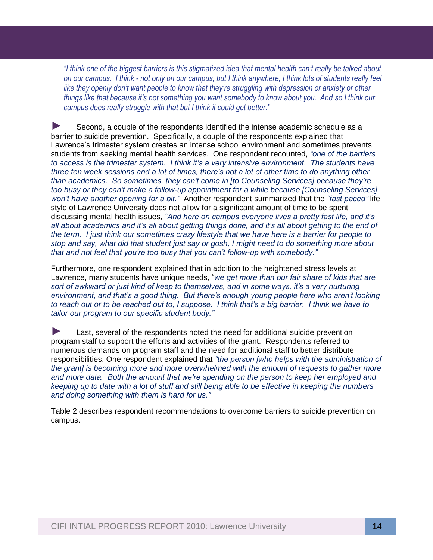*"I think one of the biggest barriers is this stigmatized idea that mental health can't really be talked about on our campus. I think - not only on our campus, but I think anywhere, I think lots of students really feel like they openly don't want people to know that they're struggling with depression or anxiety or other things like that because it's not something you want somebody to know about you. And so I think our campus does really struggle with that but I think it could get better."*

Lawrence´s trimester system creates an intense school environment and sometimes prevents<br>students from seeking mental health services. One respondent recounted, *"one of the barriers* ► Second, a couple of the respondents identified the intense academic schedule as a barrier to suicide prevention. Specifically, a couple of the respondents explained that Lawrence's trimester system creates an intense school environment and sometimes prevents *to access is the trimester system. I think it's a very intensive environment. The students have three ten week sessions and a lot of times, there's not a lot of other time to do anything other than academics. So sometimes, they can't come in [to Counseling Services] because they're too busy or they can't make a follow-up appointment for a while because [Counseling Services] won't have another opening for a bit."* Another respondent summarized that the *"fast paced"* life style of Lawrence University does not allow for a significant amount of time to be spent discussing mental health issues, *"And here on campus everyone lives a pretty fast life, and it's all about academics and it's all about getting things done, and it's all about getting to the end of the term. I just think our sometimes crazy lifestyle that we have here is a barrier for people to stop and say, what did that student just say or gosh, I might need to do something more about that and not feel that you're too busy that you can't follow-up with somebody."* 

Furthermore, one respondent explained that in addition to the heightened stress levels at Lawrence, many students have unique needs, "*we get more than our fair share of kids that are sort of awkward or just kind of keep to themselves, and in some ways, it's a very nurturing environment, and that's a good thing. But there's enough young people here who aren't looking to reach out or to be reached out to, I suppose. I think that's a big barrier. I think we have to tailor our program to our specific student body."*

► Last, several of the respondents noted the need for additional suicide prevention program staff to support the efforts and activities of the grant. Respondents referred to numerous demands on program staff and the need for additional staff to better distribute responsibilities. One respondent explained that *"the person [who helps with the administration of the grant] is becoming more and more overwhelmed with the amount of requests to gather more and more data. Both the amount that we're spending on the person to keep her employed and keeping up to date with a lot of stuff and still being able to be effective in keeping the numbers and doing something with them is hard for us."* 

Table 2 describes respondent recommendations to overcome barriers to suicide prevention on campus.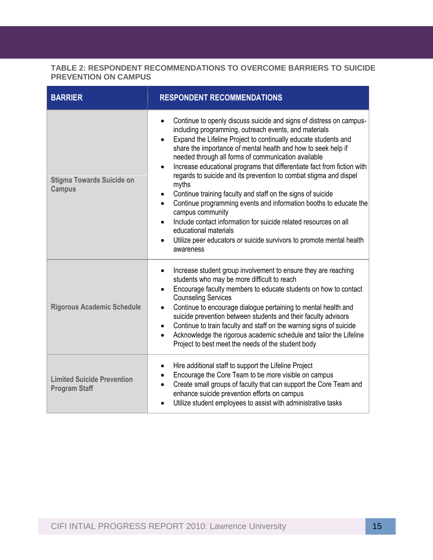#### **TABLE 2: RESPONDENT RECOMMENDATIONS TO OVERCOME BARRIERS TO SUICIDE PREVENTION ON CAMPUS**

| <b>BARRIER</b>                                            | <b>RESPONDENT RECOMMENDATIONS</b>                                                                                                                                                                                                                                                                                                                                                                                                                                                                                                                                                                                                                                                                                                                                                                                                                                                           |
|-----------------------------------------------------------|---------------------------------------------------------------------------------------------------------------------------------------------------------------------------------------------------------------------------------------------------------------------------------------------------------------------------------------------------------------------------------------------------------------------------------------------------------------------------------------------------------------------------------------------------------------------------------------------------------------------------------------------------------------------------------------------------------------------------------------------------------------------------------------------------------------------------------------------------------------------------------------------|
| <b>Stigma Towards Suicide on</b><br><b>Campus</b>         | Continue to openly discuss suicide and signs of distress on campus-<br>$\bullet$<br>including programming, outreach events, and materials<br>Expand the Lifeline Project to continually educate students and<br>$\bullet$<br>share the importance of mental health and how to seek help if<br>needed through all forms of communication available<br>Increase educational programs that differentiate fact from fiction with<br>$\bullet$<br>regards to suicide and its prevention to combat stigma and dispel<br>myths<br>Continue training faculty and staff on the signs of suicide<br>$\bullet$<br>Continue programming events and information booths to educate the<br>$\bullet$<br>campus community<br>Include contact information for suicide related resources on all<br>educational materials<br>Utilize peer educators or suicide survivors to promote mental health<br>awareness |
| <b>Rigorous Academic Schedule</b>                         | Increase student group involvement to ensure they are reaching<br>$\bullet$<br>students who may be more difficult to reach<br>Encourage faculty members to educate students on how to contact<br>$\bullet$<br><b>Counseling Services</b><br>Continue to encourage dialogue pertaining to mental health and<br>$\bullet$<br>suicide prevention between students and their faculty advisors<br>Continue to train faculty and staff on the warning signs of suicide<br>$\bullet$<br>Acknowledge the rigorous academic schedule and tailor the Lifeline<br>$\bullet$<br>Project to best meet the needs of the student body                                                                                                                                                                                                                                                                      |
| <b>Limited Suicide Prevention</b><br><b>Program Staff</b> | Hire additional staff to support the Lifeline Project<br>$\bullet$<br>Encourage the Core Team to be more visible on campus<br>Create small groups of faculty that can support the Core Team and<br>$\bullet$<br>enhance suicide prevention efforts on campus<br>Utilize student employees to assist with administrative tasks<br>$\bullet$                                                                                                                                                                                                                                                                                                                                                                                                                                                                                                                                                  |